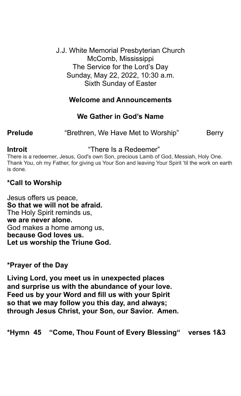J.J. White Memorial Presbyterian Church McComb, Mississippi The Service for the Lord's Day Sunday, May 22, 2022, 10:30 a.m. Sixth Sunday of Easter

# **Welcome and Announcements**

**We Gather in God's Name**

# **Prelude • The "Brethren, We Have Met to Worship" Berry**

**Introit "There Is a Redeemer"** There Is a Redeemer" There is a redeemer, Jesus, God's own Son, precious Lamb of God, Messiah, Holy One. Thank You, oh my Father, for giving us Your Son and leaving Your Spirit 'til the work on earth is done.

# **\*Call to Worship**

Jesus offers us peace, **So that we will not be afraid.**  The Holy Spirit reminds us, **we are never alone.**  God makes a home among us, **because God loves us. Let us worship the Triune God.** 

# **\*Prayer of the Day**

**Living Lord, you meet us in unexpected places and surprise us with the abundance of your love. Feed us by your Word and fill us with your Spirit so that we may follow you this day, and always; through Jesus Christ, your Son, our Savior. Amen.**

**\*Hymn 45 "Come, Thou Fount of Every Blessing" verses 1&3**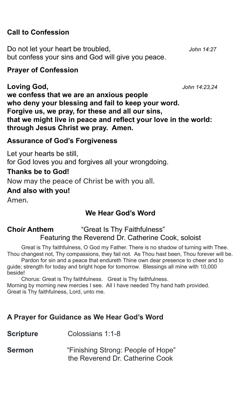# **Call to Confession**

Do not let your heart be troubled, *John 14:27* but confess your sins and God will give you peace.

## **Prayer of Confession**

**Loving God,** *John 14:23,24*

**we confess that we are an anxious people who deny your blessing and fail to keep your word. Forgive us, we pray, for these and all our sins, that we might live in peace and reflect your love in the world: through Jesus Christ we pray. Amen.**

# **Assurance of God's Forgiveness**

Let your hearts be still, for God loves you and forgives all your wrongdoing.

### **Thanks be to God!**

Now may the peace of Christ be with you all.

### **And also with you!**

Amen.

# **We Hear God's Word**

# **Choir Anthem** "Great Is Thy Faithfulness" Featuring the Reverend Dr. Catherine Cook, soloist

Great is Thy faithfulness, O God my Father. There is no shadow of turning with Thee. Thou changest not, Thy compassions, they fail not. As Thou hast been, Thou forever will be.

Pardon for sin and a peace that endureth Thine own dear presence to cheer and to guide; strength for today and bright hope for tomorrow. Blessings all mine with 10,000 beside!

Chorus: Great is Thy faithfulness. Great is Thy faithfulness.

Morning by morning new mercies I see. All I have needed Thy hand hath provided. Great is Thy faithfulness, Lord, unto me.

# **A Prayer for Guidance as We Hear God's Word**

**Scripture Colossians 1:1-8** 

**Sermon** "Finishing Strong: People of Hope" the Reverend Dr. Catherine Cook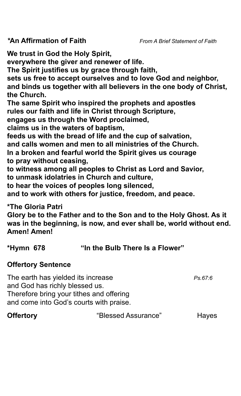*\****An Affirmation of Faith** *From A Brief Statement of Faith*

**We trust in God the Holy Spirit,** 

**everywhere the giver and renewer of life.** 

**The Spirit justifies us by grace through faith,** 

**sets us free to accept ourselves and to love God and neighbor, and binds us together with all believers in the one body of Christ, the Church.** 

**The same Spirit who inspired the prophets and apostles rules our faith and life in Christ through Scripture,** 

**engages us through the Word proclaimed,** 

**claims us in the waters of baptism,** 

**feeds us with the bread of life and the cup of salvation, and calls women and men to all ministries of the Church. In a broken and fearful world the Spirit gives us courage** 

**to pray without ceasing,** 

**to witness among all peoples to Christ as Lord and Savior, to unmask idolatries in Church and culture,** 

**to hear the voices of peoples long silenced,** 

**and to work with others for justice, freedom, and peace.** 

# **\*The Gloria Patri**

**Glory be to the Father and to the Son and to the Holy Ghost. As it was in the beginning, is now, and ever shall be, world without end. Amen! Amen!** 

**\*Hymn 678 "In the Bulb There Is a Flower"**

# **Offertory Sentence**

The earth has yielded its increase *Ps.67:6* and God has richly blessed us. Therefore bring your tithes and offering and come into God's courts with praise.

| <b>Offertory</b> | "Blessed Assurance" | Hayes |
|------------------|---------------------|-------|
|------------------|---------------------|-------|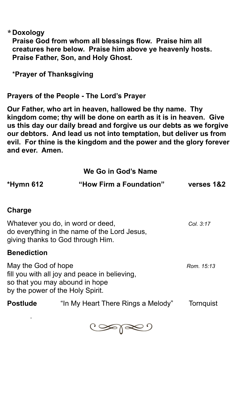# **\*Doxology**

**Praise God from whom all blessings flow. Praise him all creatures here below. Praise him above ye heavenly hosts. Praise Father, Son, and Holy Ghost.**

\***Prayer of Thanksgiving**

**Prayers of the People - The Lord's Prayer**

**Our Father, who art in heaven, hallowed be thy name. Thy kingdom come; thy will be done on earth as it is in heaven. Give us this day our daily bread and forgive us our debts as we forgive our debtors. And lead us not into temptation, but deliver us from evil. For thine is the kingdom and the power and the glory forever and ever. Amen.**

| *Hymn 612                                                                                                              | We Go in God's Name<br>"How Firm a Foundation" | verses 1&2 |
|------------------------------------------------------------------------------------------------------------------------|------------------------------------------------|------------|
| Charge                                                                                                                 |                                                |            |
| Whatever you do, in word or deed,<br>do everything in the name of the Lord Jesus,<br>giving thanks to God through Him. | Col. 3:17                                      |            |
| <b>Benediction</b>                                                                                                     |                                                |            |
| May the God of hope<br>so that you may abound in hope<br>by the power of the Holy Spirit.                              | fill you with all joy and peace in believing,  | Rom. 15:13 |
| <b>Postlude</b>                                                                                                        | "In My Heart There Rings a Melody"             | Tornquist  |